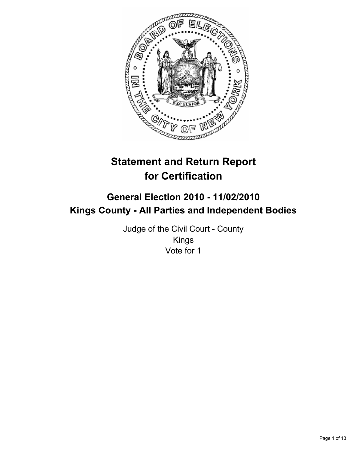

# **Statement and Return Report for Certification**

## **General Election 2010 - 11/02/2010 Kings County - All Parties and Independent Bodies**

Judge of the Civil Court - County Kings Vote for 1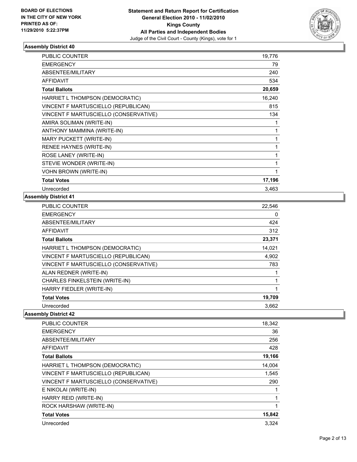

| <b>PUBLIC COUNTER</b>                 | 19,776 |
|---------------------------------------|--------|
| <b>EMERGENCY</b>                      | 79     |
| ABSENTEE/MILITARY                     | 240    |
| <b>AFFIDAVIT</b>                      | 534    |
| <b>Total Ballots</b>                  | 20,659 |
| HARRIET L THOMPSON (DEMOCRATIC)       | 16,240 |
| VINCENT F MARTUSCIELLO (REPUBLICAN)   | 815    |
| VINCENT F MARTUSCIELLO (CONSERVATIVE) | 134    |
| AMIRA SOLIMAN (WRITE-IN)              | 1      |
| ANTHONY MAMMINA (WRITE-IN)            | 1      |
| MARY PUCKETT (WRITE-IN)               | 1      |
| RENEE HAYNES (WRITE-IN)               | 1      |
| ROSE LANEY (WRITE-IN)                 | 1      |
| STEVIE WONDER (WRITE-IN)              | 1      |
| <b>VOHN BROWN (WRITE-IN)</b>          | 1      |
| <b>Total Votes</b>                    | 17,196 |
| Unrecorded                            | 3,463  |

## **Assembly District 41**

| <b>PUBLIC COUNTER</b>                 | 22,546 |
|---------------------------------------|--------|
| <b>EMERGENCY</b>                      | 0      |
| ABSENTEE/MILITARY                     | 424    |
| AFFIDAVIT                             | 312    |
| <b>Total Ballots</b>                  | 23,371 |
| HARRIET L THOMPSON (DEMOCRATIC)       | 14,021 |
| VINCENT F MARTUSCIELLO (REPUBLICAN)   | 4,902  |
| VINCENT F MARTUSCIELLO (CONSERVATIVE) | 783    |
| ALAN REDNER (WRITE-IN)                |        |
| CHARLES FINKELSTEIN (WRITE-IN)        |        |
| HARRY FIEDLER (WRITE-IN)              | 1      |
| <b>Total Votes</b>                    | 19,709 |
| Unrecorded                            | 3,662  |

| PUBLIC COUNTER                        | 18,342 |
|---------------------------------------|--------|
| <b>EMERGENCY</b>                      | 36     |
| ABSENTEE/MILITARY                     | 256    |
| <b>AFFIDAVIT</b>                      | 428    |
| <b>Total Ballots</b>                  | 19,166 |
| HARRIET L THOMPSON (DEMOCRATIC)       | 14,004 |
| VINCENT F MARTUSCIELLO (REPUBLICAN)   | 1,545  |
| VINCENT F MARTUSCIELLO (CONSERVATIVE) | 290    |
| E NIKOLAI (WRITE-IN)                  |        |
| HARRY REID (WRITE-IN)                 | 1      |
| ROCK HARSHAW (WRITE-IN)               |        |
| <b>Total Votes</b>                    | 15,842 |
| Unrecorded                            | 3.324  |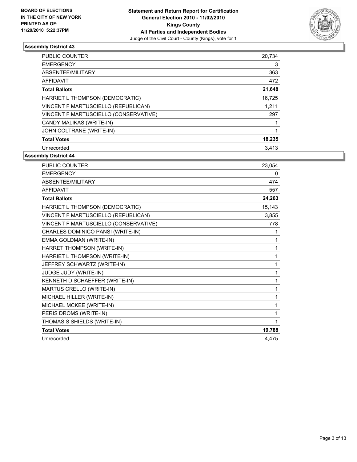

| <b>PUBLIC COUNTER</b>                 | 20,734 |
|---------------------------------------|--------|
| <b>EMERGENCY</b>                      | 3      |
| ABSENTEE/MILITARY                     | 363    |
| <b>AFFIDAVIT</b>                      | 472    |
| <b>Total Ballots</b>                  | 21,648 |
| HARRIET L THOMPSON (DEMOCRATIC)       | 16,725 |
| VINCENT F MARTUSCIELLO (REPUBLICAN)   | 1,211  |
| VINCENT F MARTUSCIELLO (CONSERVATIVE) | 297    |
| CANDY MALIKAS (WRITE-IN)              |        |
| JOHN COLTRANE (WRITE-IN)              |        |
| <b>Total Votes</b>                    | 18,235 |
| Unrecorded                            | 3.413  |

| <b>PUBLIC COUNTER</b>                 | 23,054 |
|---------------------------------------|--------|
| <b>EMERGENCY</b>                      | 0      |
| ABSENTEE/MILITARY                     | 474    |
| <b>AFFIDAVIT</b>                      | 557    |
| <b>Total Ballots</b>                  | 24,263 |
| HARRIET L THOMPSON (DEMOCRATIC)       | 15,143 |
| VINCENT F MARTUSCIELLO (REPUBLICAN)   | 3,855  |
| VINCENT F MARTUSCIELLO (CONSERVATIVE) | 778    |
| CHARLES DOMINICO PANSI (WRITE-IN)     | 1      |
| EMMA GOLDMAN (WRITE-IN)               | 1      |
| HARRET THOMPSON (WRITE-IN)            | 1      |
| HARRIET L THOMPSON (WRITE-IN)         | 1      |
| JEFFREY SCHWARTZ (WRITE-IN)           | 1      |
| JUDGE JUDY (WRITE-IN)                 | 1      |
| KENNETH D SCHAEFFER (WRITE-IN)        | 1      |
| MARTUS CRELLO (WRITE-IN)              | 1      |
| MICHAEL HILLER (WRITE-IN)             | 1      |
| MICHAEL MCKEE (WRITE-IN)              | 1      |
| PERIS DROMS (WRITE-IN)                | 1      |
| THOMAS S SHIELDS (WRITE-IN)           | 1      |
| <b>Total Votes</b>                    | 19,788 |
| Unrecorded                            | 4.475  |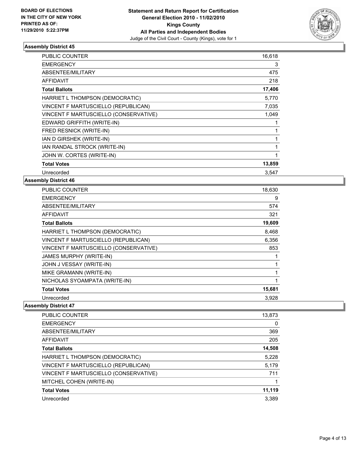

| <b>PUBLIC COUNTER</b>                 | 16,618 |
|---------------------------------------|--------|
| <b>EMERGENCY</b>                      | 3      |
| ABSENTEE/MILITARY                     | 475    |
| <b>AFFIDAVIT</b>                      | 218    |
| <b>Total Ballots</b>                  | 17,406 |
| HARRIET L THOMPSON (DEMOCRATIC)       | 5,770  |
| VINCENT F MARTUSCIELLO (REPUBLICAN)   | 7,035  |
| VINCENT F MARTUSCIELLO (CONSERVATIVE) | 1,049  |
| EDWARD GRIFFITH (WRITE-IN)            | 1      |
| FRED RESNICK (WRITE-IN)               |        |
| IAN D GIRSHEK (WRITE-IN)              |        |
| IAN RANDAL STROCK (WRITE-IN)          |        |
| JOHN W. CORTES (WRITE-IN)             | 1      |
| <b>Total Votes</b>                    | 13,859 |
| Unrecorded                            | 3.547  |

#### **Assembly District 46**

| <b>PUBLIC COUNTER</b>                 | 18,630 |
|---------------------------------------|--------|
| <b>EMERGENCY</b>                      | 9      |
| ABSENTEE/MILITARY                     | 574    |
| <b>AFFIDAVIT</b>                      | 321    |
| <b>Total Ballots</b>                  | 19,609 |
| HARRIET L THOMPSON (DEMOCRATIC)       | 8,468  |
| VINCENT F MARTUSCIELLO (REPUBLICAN)   | 6,356  |
| VINCENT F MARTUSCIELLO (CONSERVATIVE) | 853    |
| <b>JAMES MURPHY (WRITE-IN)</b>        |        |
| JOHN J VESSAY (WRITE-IN)              |        |
| MIKE GRAMANN (WRITE-IN)               | 1      |
| NICHOLAS SYOAMPATA (WRITE-IN)         | 1      |
| <b>Total Votes</b>                    | 15,681 |
| Unrecorded                            | 3.928  |

| <b>PUBLIC COUNTER</b>                 | 13,873 |
|---------------------------------------|--------|
| <b>EMERGENCY</b>                      | 0      |
| ABSENTEE/MILITARY                     | 369    |
| AFFIDAVIT                             | 205    |
| <b>Total Ballots</b>                  | 14,508 |
| HARRIET L THOMPSON (DEMOCRATIC)       | 5,228  |
| VINCENT F MARTUSCIELLO (REPUBLICAN)   | 5.179  |
| VINCENT F MARTUSCIELLO (CONSERVATIVE) | 711    |
| MITCHEL COHEN (WRITE-IN)              |        |
| <b>Total Votes</b>                    | 11,119 |
| Unrecorded                            | 3.389  |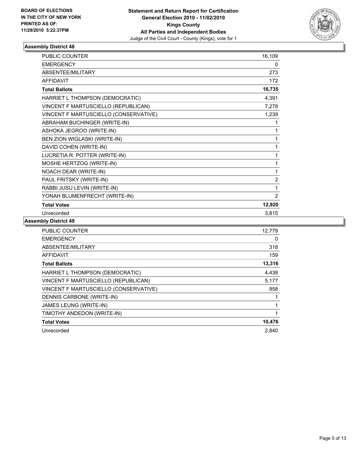

| <b>PUBLIC COUNTER</b>                 | 16,109         |
|---------------------------------------|----------------|
| <b>EMERGENCY</b>                      | 0              |
| ABSENTEE/MILITARY                     | 273            |
| <b>AFFIDAVIT</b>                      | 172            |
| <b>Total Ballots</b>                  | 16,735         |
| HARRIET L THOMPSON (DEMOCRATIC)       | 4,391          |
| VINCENT F MARTUSCIELLO (REPUBLICAN)   | 7,278          |
| VINCENT F MARTUSCIELLO (CONSERVATIVE) | 1,239          |
| ABRAHAM BUCHINGER (WRITE-IN)          |                |
| ASHOKA JEGROO (WRITE-IN)              | 1              |
| BEN ZION WIGLASKI (WRITE-IN)          | 1              |
| DAVID COHEN (WRITE-IN)                |                |
| LUCRETIA R. POTTER (WRITE-IN)         | 1              |
| MOSHE HERTZOG (WRITE-IN)              | 1              |
| NOACH DEAR (WRITE-IN)                 | 1              |
| PAUL FRITSKY (WRITE-IN)               | $\overline{2}$ |
| RABBI JUSU LEVIN (WRITE-IN)           | 1              |
| YONAH BLUMENFRECHT (WRITE-IN)         | 2              |
| <b>Total Votes</b>                    | 12,920         |
| Unrecorded                            | 3,815          |

| <b>PUBLIC COUNTER</b>                 | 12,779 |
|---------------------------------------|--------|
| <b>EMERGENCY</b>                      | 0      |
| ABSENTEE/MILITARY                     | 318    |
| AFFIDAVIT                             | 159    |
| <b>Total Ballots</b>                  | 13,316 |
| HARRIET L THOMPSON (DEMOCRATIC)       | 4,438  |
| VINCENT F MARTUSCIELLO (REPUBLICAN)   | 5,177  |
| VINCENT F MARTUSCIELLO (CONSERVATIVE) | 858    |
| DENNIS CARBONE (WRITE-IN)             |        |
| JAMES LEUNG (WRITE-IN)                |        |
| TIMOTHY ANDEDON (WRITE-IN)            | 1      |
| <b>Total Votes</b>                    | 10,476 |
| Unrecorded                            | 2.840  |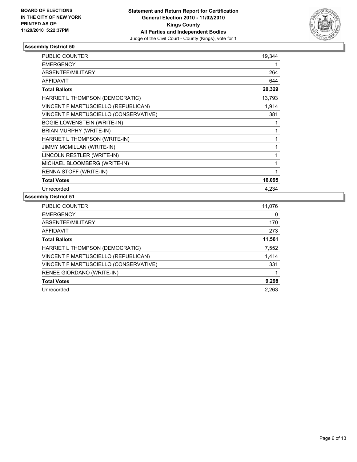

| <b>PUBLIC COUNTER</b>                 | 19,344 |
|---------------------------------------|--------|
| <b>EMERGENCY</b>                      |        |
| ABSENTEE/MILITARY                     | 264    |
| <b>AFFIDAVIT</b>                      | 644    |
| <b>Total Ballots</b>                  | 20,329 |
| HARRIET L THOMPSON (DEMOCRATIC)       | 13,793 |
| VINCENT F MARTUSCIELLO (REPUBLICAN)   | 1,914  |
| VINCENT F MARTUSCIELLO (CONSERVATIVE) | 381    |
| <b>BOGIE LOWENSTEIN (WRITE-IN)</b>    | 1      |
| BRIAN MURPHY (WRITE-IN)               | 1      |
| HARRIET L THOMPSON (WRITE-IN)         | 1      |
| <b>JIMMY MCMILLAN (WRITE-IN)</b>      | 1      |
| LINCOLN RESTLER (WRITE-IN)            | 1      |
| MICHAEL BLOOMBERG (WRITE-IN)          | 1      |
| RENNA STOFF (WRITE-IN)                | 1      |
| <b>Total Votes</b>                    | 16,095 |
| Unrecorded                            | 4.234  |

| <b>PUBLIC COUNTER</b>                 | 11,076 |
|---------------------------------------|--------|
| <b>EMERGENCY</b>                      | 0      |
| ABSENTEE/MILITARY                     | 170    |
| <b>AFFIDAVIT</b>                      | 273    |
| <b>Total Ballots</b>                  | 11,561 |
| HARRIET L THOMPSON (DEMOCRATIC)       | 7,552  |
| VINCENT F MARTUSCIELLO (REPUBLICAN)   | 1,414  |
| VINCENT F MARTUSCIELLO (CONSERVATIVE) | 331    |
| RENEE GIORDANO (WRITE-IN)             |        |
| <b>Total Votes</b>                    | 9,298  |
| Unrecorded                            | 2.263  |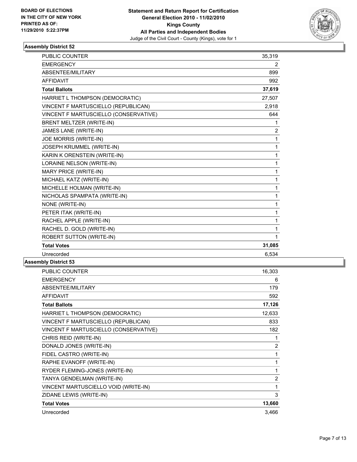

| <b>PUBLIC COUNTER</b>                 | 35,319         |
|---------------------------------------|----------------|
| <b>EMERGENCY</b>                      | 2              |
| ABSENTEE/MILITARY                     | 899            |
| <b>AFFIDAVIT</b>                      | 992            |
| <b>Total Ballots</b>                  | 37,619         |
| HARRIET L THOMPSON (DEMOCRATIC)       | 27,507         |
| VINCENT F MARTUSCIELLO (REPUBLICAN)   | 2,918          |
| VINCENT F MARTUSCIELLO (CONSERVATIVE) | 644            |
| <b>BRENT MELTZER (WRITE-IN)</b>       | 1              |
| JAMES LANE (WRITE-IN)                 | $\overline{c}$ |
| JOE MORRIS (WRITE-IN)                 | 1              |
| <b>JOSEPH KRUMMEL (WRITE-IN)</b>      | 1              |
| KARIN K ORENSTEIN (WRITE-IN)          | 1              |
| LORAINE NELSON (WRITE-IN)             | 1              |
| MARY PRICE (WRITE-IN)                 | 1              |
| MICHAEL KATZ (WRITE-IN)               | 1              |
| MICHELLE HOLMAN (WRITE-IN)            | 1              |
| NICHOLAS SPAMPATA (WRITE-IN)          | $\mathbf{1}$   |
| NONE (WRITE-IN)                       | $\mathbf{1}$   |
| PETER ITAK (WRITE-IN)                 | $\mathbf{1}$   |
| RACHEL APPLE (WRITE-IN)               | 1              |
| RACHEL D. GOLD (WRITE-IN)             | $\mathbf{1}$   |
| <b>ROBERT SUTTON (WRITE-IN)</b>       | 1              |
| <b>Total Votes</b>                    | 31,085         |
| Unrecorded                            | 6,534          |

| <b>PUBLIC COUNTER</b>                 | 16,303         |
|---------------------------------------|----------------|
| <b>EMERGENCY</b>                      | 6              |
| ABSENTEE/MILITARY                     | 179            |
| <b>AFFIDAVIT</b>                      | 592            |
| <b>Total Ballots</b>                  | 17,126         |
| HARRIET L THOMPSON (DEMOCRATIC)       | 12,633         |
| VINCENT F MARTUSCIELLO (REPUBLICAN)   | 833            |
| VINCENT F MARTUSCIELLO (CONSERVATIVE) | 182            |
| CHRIS REID (WRITE-IN)                 | 1              |
| DONALD JONES (WRITE-IN)               | $\overline{2}$ |
| FIDEL CASTRO (WRITE-IN)               | 1              |
| RAPHE EVANOFF (WRITE-IN)              | 1              |
| RYDER FLEMING-JONES (WRITE-IN)        | 1              |
| TANYA GENDELMAN (WRITE-IN)            | $\overline{2}$ |
| VINCENT MARTUSCIELLO VOID (WRITE-IN)  | 1              |
| ZIDANE LEWIS (WRITE-IN)               | 3              |
| <b>Total Votes</b>                    | 13,660         |
| Unrecorded                            | 3,466          |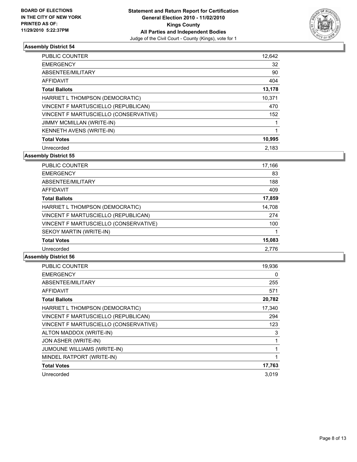

| <b>PUBLIC COUNTER</b>                 | 12,642 |
|---------------------------------------|--------|
| <b>EMERGENCY</b>                      | 32     |
| ABSENTEE/MILITARY                     | 90     |
| AFFIDAVIT                             | 404    |
| <b>Total Ballots</b>                  | 13,178 |
| HARRIET L THOMPSON (DEMOCRATIC)       | 10,371 |
| VINCENT F MARTUSCIELLO (REPUBLICAN)   | 470    |
| VINCENT F MARTUSCIELLO (CONSERVATIVE) | 152    |
| <b>JIMMY MCMILLAN (WRITE-IN)</b>      |        |
| <b>KENNETH AVENS (WRITE-IN)</b>       | 1      |
| <b>Total Votes</b>                    | 10,995 |
| Unrecorded                            | 2.183  |

**Assembly District 55**

| <b>PUBLIC COUNTER</b>                 | 17,166 |
|---------------------------------------|--------|
| <b>EMERGENCY</b>                      | 83     |
| ABSENTEE/MILITARY                     | 188    |
| AFFIDAVIT                             | 409    |
| <b>Total Ballots</b>                  | 17,859 |
| HARRIET L THOMPSON (DEMOCRATIC)       | 14,708 |
| VINCENT F MARTUSCIELLO (REPUBLICAN)   | 274    |
| VINCENT F MARTUSCIELLO (CONSERVATIVE) | 100    |
| SEKOY MARTIN (WRITE-IN)               |        |
| <b>Total Votes</b>                    | 15,083 |
| Unrecorded                            | 2.776  |

| <b>PUBLIC COUNTER</b>                 | 19,936 |
|---------------------------------------|--------|
| <b>EMERGENCY</b>                      | 0      |
| ABSENTEE/MILITARY                     | 255    |
| <b>AFFIDAVIT</b>                      | 571    |
| <b>Total Ballots</b>                  | 20,782 |
| HARRIET L THOMPSON (DEMOCRATIC)       | 17,340 |
| VINCENT F MARTUSCIELLO (REPUBLICAN)   | 294    |
| VINCENT F MARTUSCIELLO (CONSERVATIVE) | 123    |
| ALTON MADDOX (WRITE-IN)               | 3      |
| JON ASHER (WRITE-IN)                  | 1      |
| <b>JUMOUNE WILLIAMS (WRITE-IN)</b>    | 1      |
| MINDEL RATPORT (WRITE-IN)             | 1      |
| <b>Total Votes</b>                    | 17,763 |
| Unrecorded                            | 3,019  |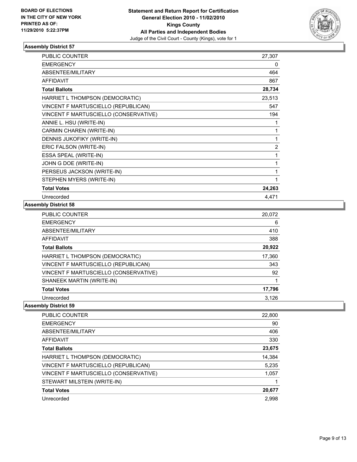

| <b>PUBLIC COUNTER</b>                 | 27,307         |
|---------------------------------------|----------------|
| <b>EMERGENCY</b>                      | 0              |
| ABSENTEE/MILITARY                     | 464            |
| <b>AFFIDAVIT</b>                      | 867            |
| <b>Total Ballots</b>                  | 28,734         |
| HARRIET L THOMPSON (DEMOCRATIC)       | 23,513         |
| VINCENT F MARTUSCIELLO (REPUBLICAN)   | 547            |
| VINCENT F MARTUSCIELLO (CONSERVATIVE) | 194            |
| ANNIE L. HSU (WRITE-IN)               | 1              |
| CARMIN CHAREN (WRITE-IN)              | 1              |
| DENNIS JUKOFIKY (WRITE-IN)            | 1              |
| ERIC FALSON (WRITE-IN)                | $\overline{2}$ |
| ESSA SPEAL (WRITE-IN)                 | 1              |
| JOHN G DOE (WRITE-IN)                 | 1              |
| PERSEUS JACKSON (WRITE-IN)            | 1              |
| STEPHEN MYERS (WRITE-IN)              | 1              |
| <b>Total Votes</b>                    | 24,263         |
| Unrecorded                            | 4,471          |

#### **Assembly District 58**

| <b>PUBLIC COUNTER</b>                 | 20,072 |
|---------------------------------------|--------|
| <b>EMERGENCY</b>                      | 6      |
| ABSENTEE/MILITARY                     | 410    |
| AFFIDAVIT                             | 388    |
| <b>Total Ballots</b>                  | 20,922 |
| HARRIET L THOMPSON (DEMOCRATIC)       | 17,360 |
| VINCENT F MARTUSCIELLO (REPUBLICAN)   | 343    |
| VINCENT F MARTUSCIELLO (CONSERVATIVE) | 92     |
| SHANEEK MARTIN (WRITE-IN)             |        |
| <b>Total Votes</b>                    | 17,796 |
| Unrecorded                            | 3,126  |

| <b>PUBLIC COUNTER</b>                 | 22,800 |
|---------------------------------------|--------|
| <b>EMERGENCY</b>                      | 90     |
| ABSENTEE/MILITARY                     | 406    |
| AFFIDAVIT                             | 330    |
| <b>Total Ballots</b>                  | 23,675 |
| HARRIET L THOMPSON (DEMOCRATIC)       | 14,384 |
| VINCENT F MARTUSCIELLO (REPUBLICAN)   | 5,235  |
| VINCENT F MARTUSCIELLO (CONSERVATIVE) | 1,057  |
| STEWART MILSTEIN (WRITE-IN)           |        |
| <b>Total Votes</b>                    | 20,677 |
| Unrecorded                            | 2,998  |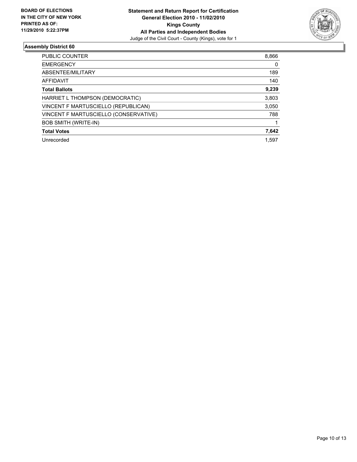

| <b>PUBLIC COUNTER</b>                 | 8,866 |
|---------------------------------------|-------|
| <b>EMERGENCY</b>                      | 0     |
| ABSENTEE/MILITARY                     | 189   |
| AFFIDAVIT                             | 140   |
| <b>Total Ballots</b>                  | 9,239 |
| HARRIET L THOMPSON (DEMOCRATIC)       | 3,803 |
| VINCENT F MARTUSCIELLO (REPUBLICAN)   | 3,050 |
| VINCENT F MARTUSCIELLO (CONSERVATIVE) | 788   |
| <b>BOB SMITH (WRITE-IN)</b>           |       |
| <b>Total Votes</b>                    | 7,642 |
| Unrecorded                            | 1.597 |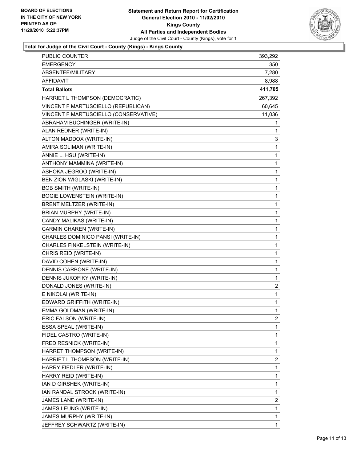

## **Total for Judge of the Civil Court - County (Kings) - Kings County**

| PUBLIC COUNTER                        | 393,292      |
|---------------------------------------|--------------|
| EMERGENCY                             | 350          |
| ABSENTEE/MILITARY                     | 7,280        |
| AFFIDAVIT                             | 8,988        |
| <b>Total Ballots</b>                  | 411,705      |
| HARRIET L THOMPSON (DEMOCRATIC)       | 267,392      |
| VINCENT F MARTUSCIELLO (REPUBLICAN)   | 60,645       |
| VINCENT F MARTUSCIELLO (CONSERVATIVE) | 11,036       |
| ABRAHAM BUCHINGER (WRITE-IN)          | 1            |
| ALAN REDNER (WRITE-IN)                | 1            |
| ALTON MADDOX (WRITE-IN)               | 3            |
| AMIRA SOLIMAN (WRITE-IN)              | 1            |
| ANNIE L. HSU (WRITE-IN)               | 1            |
| ANTHONY MAMMINA (WRITE-IN)            | $\mathbf{1}$ |
| ASHOKA JEGROO (WRITE-IN)              | 1            |
| BEN ZION WIGLASKI (WRITE-IN)          | 1            |
| <b>BOB SMITH (WRITE-IN)</b>           | $\mathbf{1}$ |
| <b>BOGIE LOWENSTEIN (WRITE-IN)</b>    | 1            |
| BRENT MELTZER (WRITE-IN)              | 1            |
| BRIAN MURPHY (WRITE-IN)               | $\mathbf{1}$ |
| CANDY MALIKAS (WRITE-IN)              | 1            |
| CARMIN CHAREN (WRITE-IN)              | 1            |
| CHARLES DOMINICO PANSI (WRITE-IN)     | $\mathbf{1}$ |
| CHARLES FINKELSTEIN (WRITE-IN)        | 1            |
| CHRIS REID (WRITE-IN)                 | 1            |
| DAVID COHEN (WRITE-IN)                | $\mathbf{1}$ |
| DENNIS CARBONE (WRITE-IN)             | 1            |
| DENNIS JUKOFIKY (WRITE-IN)            | 1            |
| DONALD JONES (WRITE-IN)               | 2            |
| E NIKOLAI (WRITE-IN)                  | 1            |
| EDWARD GRIFFITH (WRITE-IN)            | 1            |
| EMMA GOLDMAN (WRITE-IN)               | 1            |
| ERIC FALSON (WRITE-IN)                | 2            |
| ESSA SPEAL (WRITE-IN)                 | 1            |
| FIDEL CASTRO (WRITE-IN)               | $\mathbf{1}$ |
| FRED RESNICK (WRITE-IN)               | 1            |
| HARRET THOMPSON (WRITE-IN)            | 1            |
| HARRIET L THOMPSON (WRITE-IN)         | 2            |
| HARRY FIEDLER (WRITE-IN)              | 1            |
| HARRY REID (WRITE-IN)                 | 1            |
| IAN D GIRSHEK (WRITE-IN)              | $\mathbf{1}$ |
| IAN RANDAL STROCK (WRITE-IN)          | 1            |
| JAMES LANE (WRITE-IN)                 | 2            |
| JAMES LEUNG (WRITE-IN)                | 1            |
| JAMES MURPHY (WRITE-IN)               | 1            |
| JEFFREY SCHWARTZ (WRITE-IN)           | 1            |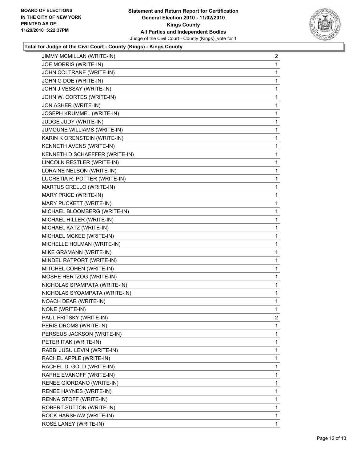

## **Total for Judge of the Civil Court - County (Kings) - Kings County**

| JOE MORRIS (WRITE-IN)<br>1<br>JOHN COLTRANE (WRITE-IN)<br>1<br>JOHN G DOE (WRITE-IN)<br>1<br>JOHN J VESSAY (WRITE-IN)<br>1<br>JOHN W. CORTES (WRITE-IN)<br>1<br>JON ASHER (WRITE-IN)<br>1<br>JOSEPH KRUMMEL (WRITE-IN)<br>1<br>JUDGE JUDY (WRITE-IN)<br>1<br>JUMOUNE WILLIAMS (WRITE-IN)<br>1<br>KARIN K ORENSTEIN (WRITE-IN)<br>1<br>KENNETH AVENS (WRITE-IN)<br>1<br>KENNETH D SCHAEFFER (WRITE-IN)<br>1<br>LINCOLN RESTLER (WRITE-IN)<br>1<br>LORAINE NELSON (WRITE-IN)<br>1<br>LUCRETIA R. POTTER (WRITE-IN)<br>1<br>MARTUS CRELLO (WRITE-IN)<br>1<br>MARY PRICE (WRITE-IN)<br>1<br>MARY PUCKETT (WRITE-IN)<br>1<br>MICHAEL BLOOMBERG (WRITE-IN)<br>1<br>MICHAEL HILLER (WRITE-IN)<br>1<br>MICHAEL KATZ (WRITE-IN)<br>1<br>MICHAEL MCKEE (WRITE-IN)<br>1<br>MICHELLE HOLMAN (WRITE-IN)<br>1<br>MIKE GRAMANN (WRITE-IN)<br>1<br>MINDEL RATPORT (WRITE-IN)<br>1<br>MITCHEL COHEN (WRITE-IN)<br>1<br>MOSHE HERTZOG (WRITE-IN)<br>1<br>NICHOLAS SPAMPATA (WRITE-IN)<br>1<br>NICHOLAS SYOAMPATA (WRITE-IN)<br>1<br>NOACH DEAR (WRITE-IN)<br>1<br>NONE (WRITE-IN)<br>1<br>PAUL FRITSKY (WRITE-IN)<br>2<br>PERIS DROMS (WRITE-IN)<br>1<br>1<br>PERSEUS JACKSON (WRITE-IN)<br>PETER ITAK (WRITE-IN)<br>1<br>RABBI JUSU LEVIN (WRITE-IN)<br>1<br>1<br>RACHEL APPLE (WRITE-IN)<br>RACHEL D. GOLD (WRITE-IN)<br>1<br>RAPHE EVANOFF (WRITE-IN)<br>1<br>1<br>RENEE GIORDANO (WRITE-IN)<br>RENEE HAYNES (WRITE-IN)<br>1<br>1<br>RENNA STOFF (WRITE-IN)<br>1<br>ROBERT SUTTON (WRITE-IN)<br>ROCK HARSHAW (WRITE-IN)<br>1 | <b>JIMMY MCMILLAN (WRITE-IN)</b> | 2           |
|---------------------------------------------------------------------------------------------------------------------------------------------------------------------------------------------------------------------------------------------------------------------------------------------------------------------------------------------------------------------------------------------------------------------------------------------------------------------------------------------------------------------------------------------------------------------------------------------------------------------------------------------------------------------------------------------------------------------------------------------------------------------------------------------------------------------------------------------------------------------------------------------------------------------------------------------------------------------------------------------------------------------------------------------------------------------------------------------------------------------------------------------------------------------------------------------------------------------------------------------------------------------------------------------------------------------------------------------------------------------------------------------------------------------------------------------------------------------------------------------------------------|----------------------------------|-------------|
|                                                                                                                                                                                                                                                                                                                                                                                                                                                                                                                                                                                                                                                                                                                                                                                                                                                                                                                                                                                                                                                                                                                                                                                                                                                                                                                                                                                                                                                                                                               |                                  |             |
|                                                                                                                                                                                                                                                                                                                                                                                                                                                                                                                                                                                                                                                                                                                                                                                                                                                                                                                                                                                                                                                                                                                                                                                                                                                                                                                                                                                                                                                                                                               |                                  |             |
|                                                                                                                                                                                                                                                                                                                                                                                                                                                                                                                                                                                                                                                                                                                                                                                                                                                                                                                                                                                                                                                                                                                                                                                                                                                                                                                                                                                                                                                                                                               |                                  |             |
|                                                                                                                                                                                                                                                                                                                                                                                                                                                                                                                                                                                                                                                                                                                                                                                                                                                                                                                                                                                                                                                                                                                                                                                                                                                                                                                                                                                                                                                                                                               |                                  |             |
|                                                                                                                                                                                                                                                                                                                                                                                                                                                                                                                                                                                                                                                                                                                                                                                                                                                                                                                                                                                                                                                                                                                                                                                                                                                                                                                                                                                                                                                                                                               |                                  |             |
|                                                                                                                                                                                                                                                                                                                                                                                                                                                                                                                                                                                                                                                                                                                                                                                                                                                                                                                                                                                                                                                                                                                                                                                                                                                                                                                                                                                                                                                                                                               |                                  |             |
|                                                                                                                                                                                                                                                                                                                                                                                                                                                                                                                                                                                                                                                                                                                                                                                                                                                                                                                                                                                                                                                                                                                                                                                                                                                                                                                                                                                                                                                                                                               |                                  |             |
|                                                                                                                                                                                                                                                                                                                                                                                                                                                                                                                                                                                                                                                                                                                                                                                                                                                                                                                                                                                                                                                                                                                                                                                                                                                                                                                                                                                                                                                                                                               |                                  |             |
|                                                                                                                                                                                                                                                                                                                                                                                                                                                                                                                                                                                                                                                                                                                                                                                                                                                                                                                                                                                                                                                                                                                                                                                                                                                                                                                                                                                                                                                                                                               |                                  |             |
|                                                                                                                                                                                                                                                                                                                                                                                                                                                                                                                                                                                                                                                                                                                                                                                                                                                                                                                                                                                                                                                                                                                                                                                                                                                                                                                                                                                                                                                                                                               |                                  |             |
|                                                                                                                                                                                                                                                                                                                                                                                                                                                                                                                                                                                                                                                                                                                                                                                                                                                                                                                                                                                                                                                                                                                                                                                                                                                                                                                                                                                                                                                                                                               |                                  |             |
|                                                                                                                                                                                                                                                                                                                                                                                                                                                                                                                                                                                                                                                                                                                                                                                                                                                                                                                                                                                                                                                                                                                                                                                                                                                                                                                                                                                                                                                                                                               |                                  |             |
|                                                                                                                                                                                                                                                                                                                                                                                                                                                                                                                                                                                                                                                                                                                                                                                                                                                                                                                                                                                                                                                                                                                                                                                                                                                                                                                                                                                                                                                                                                               |                                  |             |
|                                                                                                                                                                                                                                                                                                                                                                                                                                                                                                                                                                                                                                                                                                                                                                                                                                                                                                                                                                                                                                                                                                                                                                                                                                                                                                                                                                                                                                                                                                               |                                  |             |
|                                                                                                                                                                                                                                                                                                                                                                                                                                                                                                                                                                                                                                                                                                                                                                                                                                                                                                                                                                                                                                                                                                                                                                                                                                                                                                                                                                                                                                                                                                               |                                  |             |
|                                                                                                                                                                                                                                                                                                                                                                                                                                                                                                                                                                                                                                                                                                                                                                                                                                                                                                                                                                                                                                                                                                                                                                                                                                                                                                                                                                                                                                                                                                               |                                  |             |
|                                                                                                                                                                                                                                                                                                                                                                                                                                                                                                                                                                                                                                                                                                                                                                                                                                                                                                                                                                                                                                                                                                                                                                                                                                                                                                                                                                                                                                                                                                               |                                  |             |
|                                                                                                                                                                                                                                                                                                                                                                                                                                                                                                                                                                                                                                                                                                                                                                                                                                                                                                                                                                                                                                                                                                                                                                                                                                                                                                                                                                                                                                                                                                               |                                  |             |
|                                                                                                                                                                                                                                                                                                                                                                                                                                                                                                                                                                                                                                                                                                                                                                                                                                                                                                                                                                                                                                                                                                                                                                                                                                                                                                                                                                                                                                                                                                               |                                  |             |
|                                                                                                                                                                                                                                                                                                                                                                                                                                                                                                                                                                                                                                                                                                                                                                                                                                                                                                                                                                                                                                                                                                                                                                                                                                                                                                                                                                                                                                                                                                               |                                  |             |
|                                                                                                                                                                                                                                                                                                                                                                                                                                                                                                                                                                                                                                                                                                                                                                                                                                                                                                                                                                                                                                                                                                                                                                                                                                                                                                                                                                                                                                                                                                               |                                  |             |
|                                                                                                                                                                                                                                                                                                                                                                                                                                                                                                                                                                                                                                                                                                                                                                                                                                                                                                                                                                                                                                                                                                                                                                                                                                                                                                                                                                                                                                                                                                               |                                  |             |
|                                                                                                                                                                                                                                                                                                                                                                                                                                                                                                                                                                                                                                                                                                                                                                                                                                                                                                                                                                                                                                                                                                                                                                                                                                                                                                                                                                                                                                                                                                               |                                  |             |
|                                                                                                                                                                                                                                                                                                                                                                                                                                                                                                                                                                                                                                                                                                                                                                                                                                                                                                                                                                                                                                                                                                                                                                                                                                                                                                                                                                                                                                                                                                               |                                  |             |
|                                                                                                                                                                                                                                                                                                                                                                                                                                                                                                                                                                                                                                                                                                                                                                                                                                                                                                                                                                                                                                                                                                                                                                                                                                                                                                                                                                                                                                                                                                               |                                  |             |
|                                                                                                                                                                                                                                                                                                                                                                                                                                                                                                                                                                                                                                                                                                                                                                                                                                                                                                                                                                                                                                                                                                                                                                                                                                                                                                                                                                                                                                                                                                               |                                  |             |
|                                                                                                                                                                                                                                                                                                                                                                                                                                                                                                                                                                                                                                                                                                                                                                                                                                                                                                                                                                                                                                                                                                                                                                                                                                                                                                                                                                                                                                                                                                               |                                  |             |
|                                                                                                                                                                                                                                                                                                                                                                                                                                                                                                                                                                                                                                                                                                                                                                                                                                                                                                                                                                                                                                                                                                                                                                                                                                                                                                                                                                                                                                                                                                               |                                  |             |
|                                                                                                                                                                                                                                                                                                                                                                                                                                                                                                                                                                                                                                                                                                                                                                                                                                                                                                                                                                                                                                                                                                                                                                                                                                                                                                                                                                                                                                                                                                               |                                  |             |
|                                                                                                                                                                                                                                                                                                                                                                                                                                                                                                                                                                                                                                                                                                                                                                                                                                                                                                                                                                                                                                                                                                                                                                                                                                                                                                                                                                                                                                                                                                               |                                  |             |
|                                                                                                                                                                                                                                                                                                                                                                                                                                                                                                                                                                                                                                                                                                                                                                                                                                                                                                                                                                                                                                                                                                                                                                                                                                                                                                                                                                                                                                                                                                               |                                  |             |
|                                                                                                                                                                                                                                                                                                                                                                                                                                                                                                                                                                                                                                                                                                                                                                                                                                                                                                                                                                                                                                                                                                                                                                                                                                                                                                                                                                                                                                                                                                               |                                  |             |
|                                                                                                                                                                                                                                                                                                                                                                                                                                                                                                                                                                                                                                                                                                                                                                                                                                                                                                                                                                                                                                                                                                                                                                                                                                                                                                                                                                                                                                                                                                               |                                  |             |
|                                                                                                                                                                                                                                                                                                                                                                                                                                                                                                                                                                                                                                                                                                                                                                                                                                                                                                                                                                                                                                                                                                                                                                                                                                                                                                                                                                                                                                                                                                               |                                  |             |
|                                                                                                                                                                                                                                                                                                                                                                                                                                                                                                                                                                                                                                                                                                                                                                                                                                                                                                                                                                                                                                                                                                                                                                                                                                                                                                                                                                                                                                                                                                               |                                  |             |
|                                                                                                                                                                                                                                                                                                                                                                                                                                                                                                                                                                                                                                                                                                                                                                                                                                                                                                                                                                                                                                                                                                                                                                                                                                                                                                                                                                                                                                                                                                               |                                  |             |
|                                                                                                                                                                                                                                                                                                                                                                                                                                                                                                                                                                                                                                                                                                                                                                                                                                                                                                                                                                                                                                                                                                                                                                                                                                                                                                                                                                                                                                                                                                               |                                  |             |
|                                                                                                                                                                                                                                                                                                                                                                                                                                                                                                                                                                                                                                                                                                                                                                                                                                                                                                                                                                                                                                                                                                                                                                                                                                                                                                                                                                                                                                                                                                               |                                  |             |
|                                                                                                                                                                                                                                                                                                                                                                                                                                                                                                                                                                                                                                                                                                                                                                                                                                                                                                                                                                                                                                                                                                                                                                                                                                                                                                                                                                                                                                                                                                               |                                  |             |
|                                                                                                                                                                                                                                                                                                                                                                                                                                                                                                                                                                                                                                                                                                                                                                                                                                                                                                                                                                                                                                                                                                                                                                                                                                                                                                                                                                                                                                                                                                               |                                  |             |
|                                                                                                                                                                                                                                                                                                                                                                                                                                                                                                                                                                                                                                                                                                                                                                                                                                                                                                                                                                                                                                                                                                                                                                                                                                                                                                                                                                                                                                                                                                               |                                  |             |
|                                                                                                                                                                                                                                                                                                                                                                                                                                                                                                                                                                                                                                                                                                                                                                                                                                                                                                                                                                                                                                                                                                                                                                                                                                                                                                                                                                                                                                                                                                               |                                  |             |
|                                                                                                                                                                                                                                                                                                                                                                                                                                                                                                                                                                                                                                                                                                                                                                                                                                                                                                                                                                                                                                                                                                                                                                                                                                                                                                                                                                                                                                                                                                               |                                  |             |
|                                                                                                                                                                                                                                                                                                                                                                                                                                                                                                                                                                                                                                                                                                                                                                                                                                                                                                                                                                                                                                                                                                                                                                                                                                                                                                                                                                                                                                                                                                               |                                  |             |
|                                                                                                                                                                                                                                                                                                                                                                                                                                                                                                                                                                                                                                                                                                                                                                                                                                                                                                                                                                                                                                                                                                                                                                                                                                                                                                                                                                                                                                                                                                               | ROSE LANEY (WRITE-IN)            | $\mathbf 1$ |